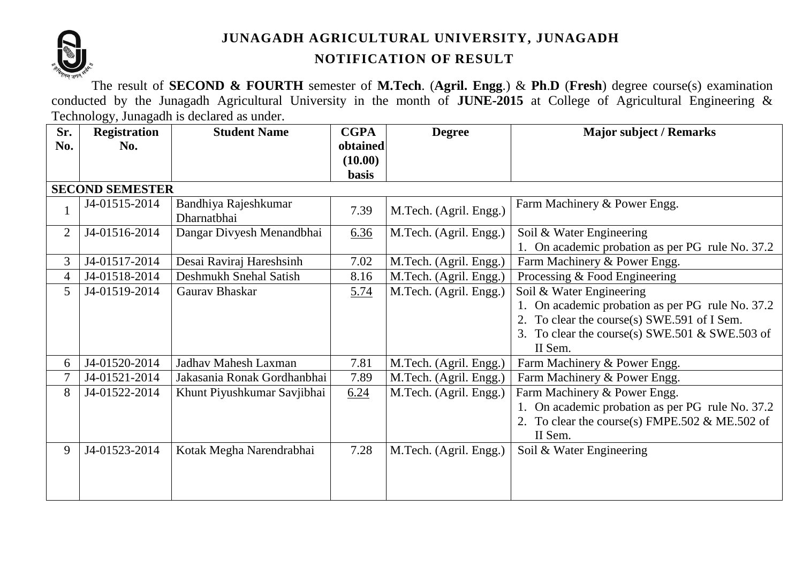

## **JUNAGADH AGRICULTURAL UNIVERSITY, JUNAGADH**

# **NOTIFICATION OF RESULT**

The result of **SECOND & FOURTH** semester of **M.Tech**. (**Agril. Engg**.) & **Ph**.**D** (**Fresh**) degree course(s) examination conducted by the Junagadh Agricultural University in the month of **JUNE-2015** at College of Agricultural Engineering & Technology, Junagadh is declared as under.

| Sr.            | <b>Registration</b>    | <b>Student Name</b>                 | <b>CGPA</b>  | <b>Degree</b>          | <b>Major subject / Remarks</b>                   |
|----------------|------------------------|-------------------------------------|--------------|------------------------|--------------------------------------------------|
| No.            | No.                    |                                     | obtained     |                        |                                                  |
|                |                        |                                     | (10.00)      |                        |                                                  |
|                |                        |                                     | <b>basis</b> |                        |                                                  |
|                | <b>SECOND SEMESTER</b> |                                     |              |                        |                                                  |
|                | J4-01515-2014          | Bandhiya Rajeshkumar<br>Dharnatbhai | 7.39         | M.Tech. (Agril. Engg.) | Farm Machinery & Power Engg.                     |
| $\overline{2}$ | J4-01516-2014          | Dangar Divyesh Menandbhai           | 6.36         | M.Tech. (Agril. Engg.) | Soil & Water Engineering                         |
|                |                        |                                     |              |                        | 1. On academic probation as per PG rule No. 37.2 |
| 3              | J4-01517-2014          | Desai Raviraj Hareshsinh            | 7.02         | M.Tech. (Agril. Engg.) | Farm Machinery & Power Engg.                     |
| 4              | J4-01518-2014          | Deshmukh Snehal Satish              | 8.16         | M.Tech. (Agril. Engg.) | Processing & Food Engineering                    |
| 5              | J4-01519-2014          | Gaurav Bhaskar                      | 5.74         | M.Tech. (Agril. Engg.) | Soil & Water Engineering                         |
|                |                        |                                     |              |                        | 1. On academic probation as per PG rule No. 37.2 |
|                |                        |                                     |              |                        | 2. To clear the course(s) SWE.591 of I Sem.      |
|                |                        |                                     |              |                        | 3. To clear the course(s) SWE.501 & SWE.503 of   |
|                |                        |                                     |              |                        | II Sem.                                          |
| 6              | J4-01520-2014          | Jadhav Mahesh Laxman                | 7.81         | M.Tech. (Agril. Engg.) | Farm Machinery & Power Engg.                     |
| 7              | J4-01521-2014          | Jakasania Ronak Gordhanbhai         | 7.89         | M.Tech. (Agril. Engg.) | Farm Machinery & Power Engg.                     |
| 8              | J4-01522-2014          | Khunt Piyushkumar Savjibhai         | 6.24         | M.Tech. (Agril. Engg.) | Farm Machinery & Power Engg.                     |
|                |                        |                                     |              |                        | 1. On academic probation as per PG rule No. 37.2 |
|                |                        |                                     |              |                        | 2. To clear the course(s) FMPE.502 & ME.502 of   |
|                |                        |                                     |              |                        | II Sem.                                          |
| 9              | J4-01523-2014          | Kotak Megha Narendrabhai            | 7.28         | M.Tech. (Agril. Engg.) | Soil & Water Engineering                         |
|                |                        |                                     |              |                        |                                                  |
|                |                        |                                     |              |                        |                                                  |
|                |                        |                                     |              |                        |                                                  |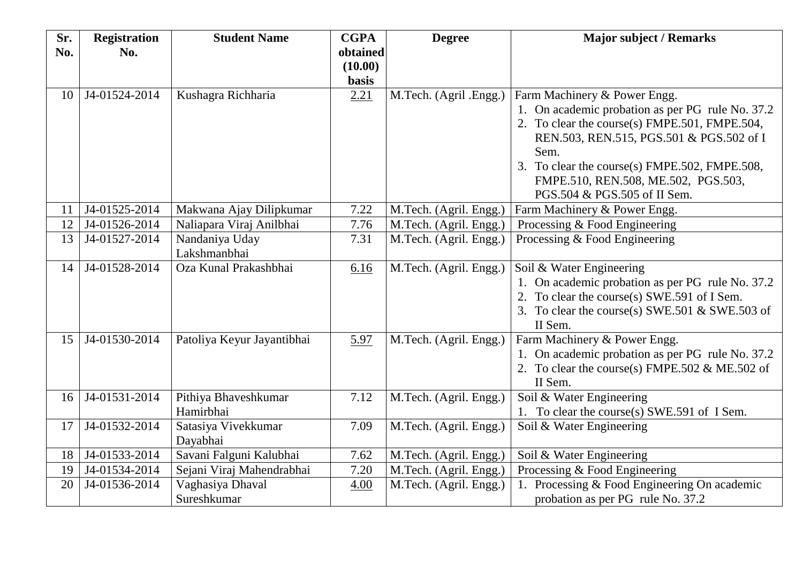| Sr. | <b>Registration</b> | <b>Student Name</b>        | <b>CGPA</b>  | <b>Degree</b>          | <b>Major subject / Remarks</b>                   |
|-----|---------------------|----------------------------|--------------|------------------------|--------------------------------------------------|
| No. | No.                 |                            | obtained     |                        |                                                  |
|     |                     |                            | (10.00)      |                        |                                                  |
|     |                     |                            | <b>basis</b> |                        |                                                  |
| 10  | J4-01524-2014       | Kushagra Richharia         | 2.21         | M.Tech. (Agril .Engg.) | Farm Machinery & Power Engg.                     |
|     |                     |                            |              |                        | 1. On academic probation as per PG rule No. 37.2 |
|     |                     |                            |              |                        | 2. To clear the course(s) FMPE.501, FMPE.504,    |
|     |                     |                            |              |                        | REN.503, REN.515, PGS.501 & PGS.502 of I<br>Sem. |
|     |                     |                            |              |                        | 3. To clear the course(s) FMPE.502, FMPE.508,    |
|     |                     |                            |              |                        | FMPE.510, REN.508, ME.502, PGS.503,              |
|     |                     |                            |              |                        | PGS.504 & PGS.505 of II Sem.                     |
| 11  | J4-01525-2014       | Makwana Ajay Dilipkumar    | 7.22         | M.Tech. (Agril. Engg.) | Farm Machinery & Power Engg.                     |
| 12  | J4-01526-2014       | Naliapara Viraj Anilbhai   | 7.76         | M.Tech. (Agril. Engg.) | Processing & Food Engineering                    |
| 13  | J4-01527-2014       | Nandaniya Uday             | 7.31         | M.Tech. (Agril. Engg.) | Processing & Food Engineering                    |
|     |                     | Lakshmanbhai               |              |                        |                                                  |
| 14  | J4-01528-2014       | Oza Kunal Prakashbhai      | 6.16         | M.Tech. (Agril. Engg.) | Soil & Water Engineering                         |
|     |                     |                            |              |                        | 1. On academic probation as per PG rule No. 37.2 |
|     |                     |                            |              |                        | 2. To clear the course(s) SWE.591 of I Sem.      |
|     |                     |                            |              |                        | 3. To clear the course(s) SWE.501 $&$ SWE.503 of |
|     |                     |                            |              |                        | II Sem.                                          |
| 15  | J4-01530-2014       | Patoliya Keyur Jayantibhai | 5.97         | M.Tech. (Agril. Engg.) | Farm Machinery & Power Engg.                     |
|     |                     |                            |              |                        | 1. On academic probation as per PG rule No. 37.2 |
|     |                     |                            |              |                        | 2. To clear the course(s) FMPE.502 $&$ ME.502 of |
|     |                     |                            |              |                        | II Sem.                                          |
| 16  | J4-01531-2014       | Pithiya Bhaveshkumar       | 7.12         | M.Tech. (Agril. Engg.) | Soil & Water Engineering                         |
|     |                     | Hamirbhai                  |              |                        | 1. To clear the course(s) SWE.591 of I Sem.      |
| 17  | J4-01532-2014       | Satasiya Vivekkumar        | 7.09         | M.Tech. (Agril. Engg.) | Soil & Water Engineering                         |
|     |                     | Dayabhai                   |              |                        |                                                  |
| 18  | J4-01533-2014       | Savani Falguni Kalubhai    | 7.62         | M.Tech. (Agril. Engg.) | Soil & Water Engineering                         |
| 19  | J4-01534-2014       | Sejani Viraj Mahendrabhai  | 7.20         | M.Tech. (Agril. Engg.) | Processing & Food Engineering                    |
| 20  | J4-01536-2014       | Vaghasiya Dhaval           | 4.00         | M.Tech. (Agril. Engg.) | 1. Processing & Food Engineering On academic     |
|     |                     | Sureshkumar                |              |                        | probation as per PG rule No. 37.2                |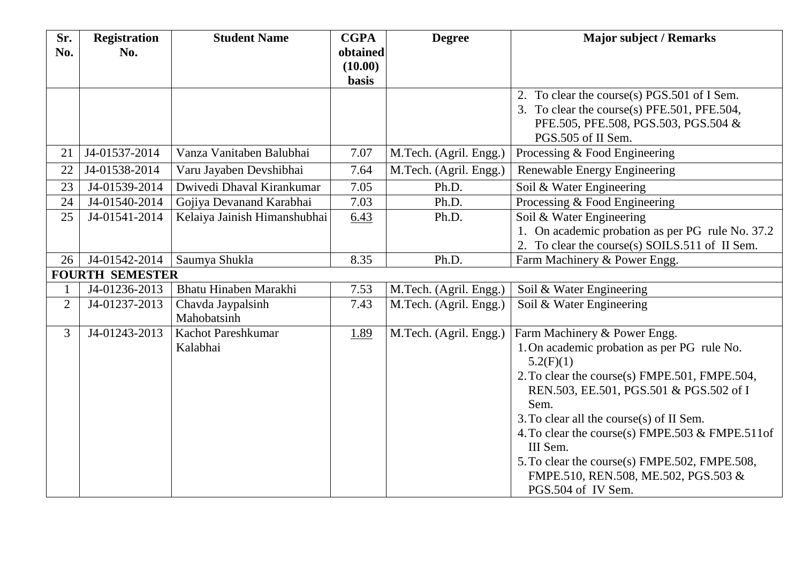| Sr.            | <b>Registration</b>    | <b>Student Name</b>              | <b>CGPA</b>  | <b>Degree</b>          | <b>Major subject / Remarks</b>                   |
|----------------|------------------------|----------------------------------|--------------|------------------------|--------------------------------------------------|
| No.            | No.                    |                                  | obtained     |                        |                                                  |
|                |                        |                                  | (10.00)      |                        |                                                  |
|                |                        |                                  | <b>basis</b> |                        | 2. To clear the course(s) PGS.501 of I Sem.      |
|                |                        |                                  |              |                        | 3. To clear the course(s) PFE.501, PFE.504,      |
|                |                        |                                  |              |                        | PFE.505, PFE.508, PGS.503, PGS.504 &             |
|                |                        |                                  |              |                        | PGS.505 of II Sem.                               |
| 21             | J4-01537-2014          | Vanza Vanitaben Balubhai         | 7.07         | M.Tech. (Agril. Engg.) | Processing & Food Engineering                    |
| 22             | J4-01538-2014          | Varu Jayaben Devshibhai          | 7.64         | M.Tech. (Agril. Engg.) | Renewable Energy Engineering                     |
| 23             | J4-01539-2014          | Dwivedi Dhaval Kirankumar        | 7.05         | Ph.D.                  | Soil & Water Engineering                         |
| 24             | J4-01540-2014          | Gojiya Devanand Karabhai         | 7.03         | Ph.D.                  | Processing & Food Engineering                    |
| 25             | J4-01541-2014          | Kelaiya Jainish Himanshubhai     | 6.43         | Ph.D.                  | Soil & Water Engineering                         |
|                |                        |                                  |              |                        | 1. On academic probation as per PG rule No. 37.2 |
|                |                        |                                  |              |                        | 2. To clear the course(s) SOILS.511 of II Sem.   |
| 26             | J4-01542-2014          | Saumya Shukla                    | 8.35         | Ph.D.                  | Farm Machinery & Power Engg.                     |
|                | <b>FOURTH SEMESTER</b> |                                  |              |                        |                                                  |
| $\mathbf{1}$   | J4-01236-2013          | Bhatu Hinaben Marakhi            | 7.53         | M.Tech. (Agril. Engg.) | Soil & Water Engineering                         |
| $\overline{2}$ | J4-01237-2013          | Chavda Jaypalsinh<br>Mahobatsinh | 7.43         | M.Tech. (Agril. Engg.) | Soil & Water Engineering                         |
| $\overline{3}$ | J4-01243-2013          | <b>Kachot Pareshkumar</b>        | 1.89         | M.Tech. (Agril. Engg.) | Farm Machinery & Power Engg.                     |
|                |                        | Kalabhai                         |              |                        | 1. On academic probation as per PG rule No.      |
|                |                        |                                  |              |                        | 5.2(F)(1)                                        |
|                |                        |                                  |              |                        | 2. To clear the course(s) FMPE.501, FMPE.504,    |
|                |                        |                                  |              |                        | REN.503, EE.501, PGS.501 & PGS.502 of I          |
|                |                        |                                  |              |                        | Sem.                                             |
|                |                        |                                  |              |                        | 3. To clear all the course(s) of II Sem.         |
|                |                        |                                  |              |                        | 4. To clear the course(s) FMPE.503 & FMPE.511of  |
|                |                        |                                  |              |                        | III Sem.                                         |
|                |                        |                                  |              |                        | 5. To clear the course(s) FMPE.502, FMPE.508,    |
|                |                        |                                  |              |                        | FMPE.510, REN.508, ME.502, PGS.503 &             |
|                |                        |                                  |              |                        | PGS.504 of IV Sem.                               |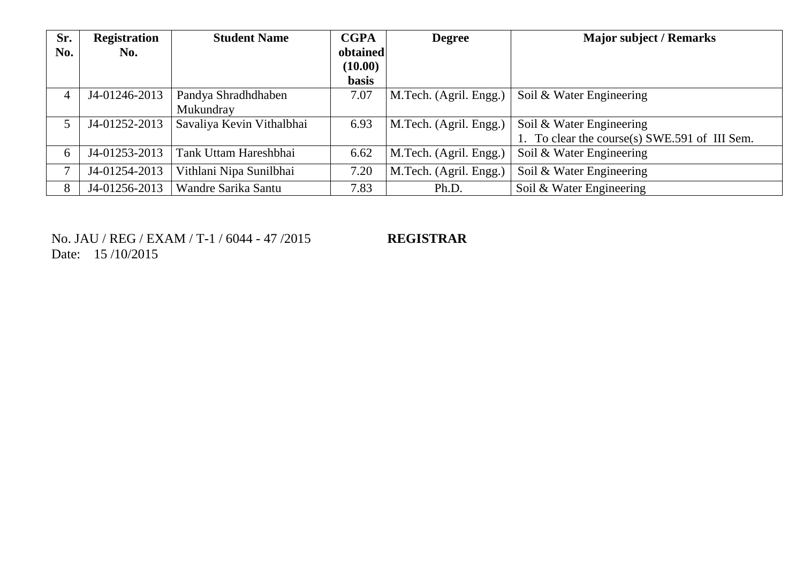| Sr.<br>No. | <b>Registration</b><br>No. | <b>Student Name</b>       | <b>CGPA</b><br>obtained<br>(10.00) | <b>Degree</b>          | <b>Major subject / Remarks</b>             |
|------------|----------------------------|---------------------------|------------------------------------|------------------------|--------------------------------------------|
|            |                            |                           | <b>basis</b>                       |                        |                                            |
| 4          | J4-01246-2013              | Pandya Shradhdhaben       | 7.07                               | M.Tech. (Agril. Engg.) | Soil & Water Engineering                   |
|            |                            | Mukundray                 |                                    |                        |                                            |
| 5          | J4-01252-2013              | Savaliya Kevin Vithalbhai | 6.93                               | M.Tech. (Agril. Engg.) | Soil & Water Engineering                   |
|            |                            |                           |                                    |                        | To clear the course(s) SWE.591 of III Sem. |
| 6          | J4-01253-2013              | Tank Uttam Hareshbhai     | 6.62                               | M.Tech. (Agril. Engg.) | Soil & Water Engineering                   |
| ┑          | J4-01254-2013              | Vithlani Nipa Sunilbhai   | 7.20                               | M.Tech. (Agril. Engg.) | Soil & Water Engineering                   |
| 8          | J4-01256-2013              | Wandre Sarika Santu       | 7.83                               | Ph.D.                  | Soil & Water Engineering                   |

No. JAU / REG / EXAM / T-1 / 6044 - 47 /2015 **REGISTRAR** Date: 15 /10/2015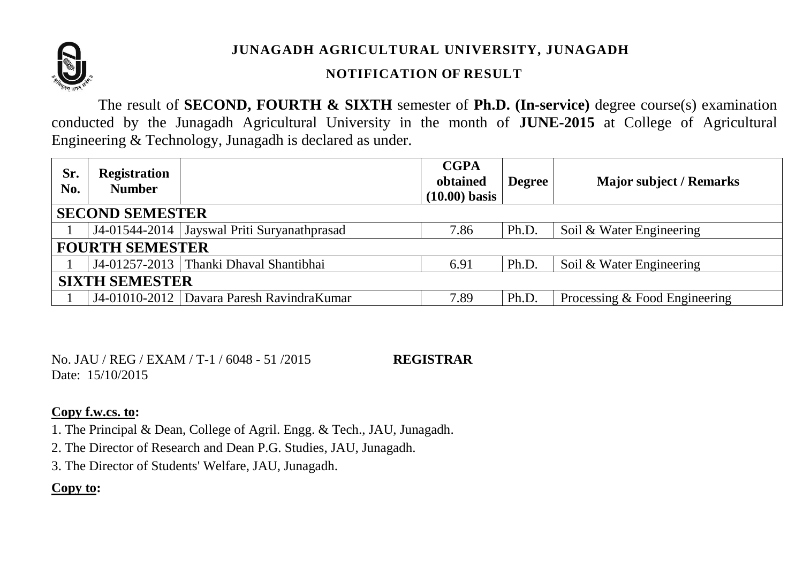

# **JUNAGADH AGRICULTURAL UNIVERSITY, JUNAGADH**

# **NOTIFICATION OF RESULT**

The result of **SECOND, FOURTH & SIXTH** semester of **Ph.D. (In-service)** degree course(s) examination conducted by the Junagadh Agricultural University in the month of **JUNE-2015** at College of Agricultural Engineering & Technology, Junagadh is declared as under.

| Sr.<br>No.             | <b>Registration</b><br><b>Number</b> |                                               | <b>CGPA</b><br>obtained<br>$(10.00)$ basis | <b>Degree</b> | <b>Major subject / Remarks</b> |  |  |  |
|------------------------|--------------------------------------|-----------------------------------------------|--------------------------------------------|---------------|--------------------------------|--|--|--|
| <b>SECOND SEMESTER</b> |                                      |                                               |                                            |               |                                |  |  |  |
|                        |                                      | J4-01544-2014   Jayswal Priti Suryanathprasad | 7.86                                       | Ph.D.         | Soil & Water Engineering       |  |  |  |
| <b>FOURTH SEMESTER</b> |                                      |                                               |                                            |               |                                |  |  |  |
|                        |                                      | J4-01257-2013   Thanki Dhaval Shantibhai      | 6.91                                       | Ph.D.         | Soil & Water Engineering       |  |  |  |
| <b>SIXTH SEMESTER</b>  |                                      |                                               |                                            |               |                                |  |  |  |
|                        |                                      | J4-01010-2012   Davara Paresh RavindraKumar   | 7.89                                       | Ph.D.         | Processing & Food Engineering  |  |  |  |

No. JAU / REG / EXAM / T-1 / 6048 - 51 /2015 **REGISTRAR** Date: 15/10/2015

#### **Copy f.w.cs. to:**

1. The Principal & Dean, College of Agril. Engg. & Tech., JAU, Junagadh.

2. The Director of Research and Dean P.G. Studies, JAU, Junagadh.

3. The Director of Students' Welfare, JAU, Junagadh.

# **Copy to:**